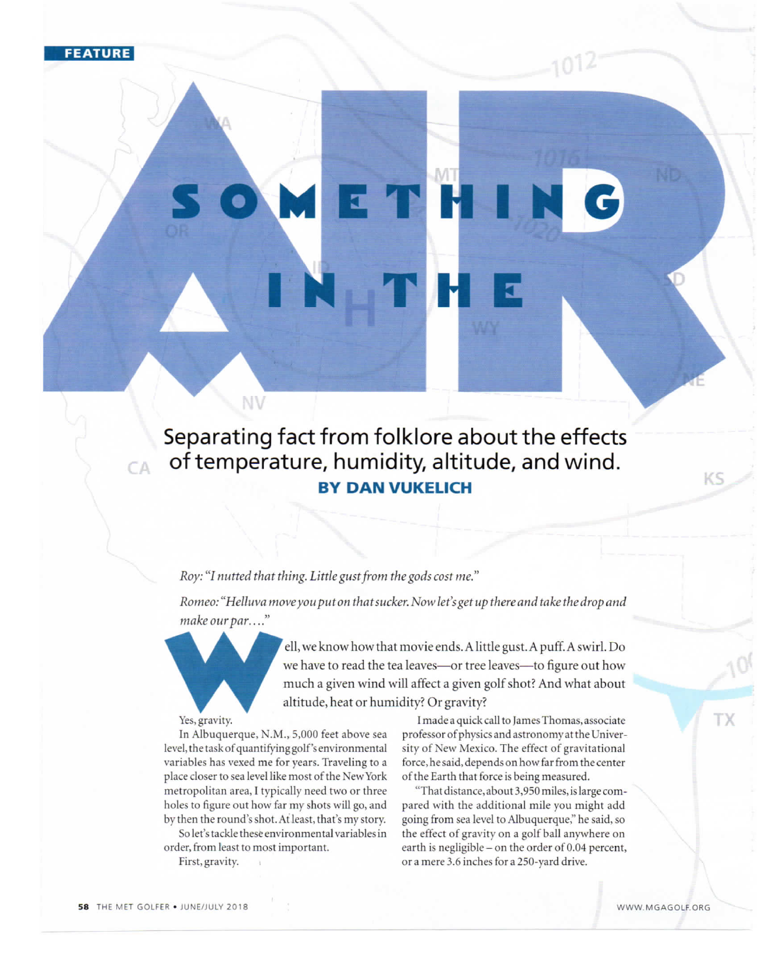**FEATURE** 

Separating fact from folklore about the effects of temperature, humidity, altitude, and wind. BY DAN VUKELICH

### Roy: "I nutted that thing. Little gust from the gods cost me."

Romeo: "Helluva move you put on that sucker. Now let's get up there and take the drop and make our par...."

make our par...."<br>Yes, gravity.<br>In Albuquerque, N.M

NV

ell,weknowhowthatmovieends.Alittlegust.Apuff.Aswirl.Do we have to read the tea leaves-or tree leaves-to figure out how much a given wind will affect a given golf shot? And what about altitude, heat or humidity? Or gravity?

Yes, gravity.

In Albuquerque, N.M., 5,000 feet above sea level, the task of quantifying golf's environmental variables has vexed me for years. Traveling to a place closer to sea level like most of the NewYork metropolitan area, I typically need two or three holes to figure out how far my shots will go, and by then the round's shot. At least, that's my story.

So let's tackle these environmental variables in order, from least to most important.

First, gravity.

I made a quick call to James Thomas, associate professor of physics and astronomy at the University of New Mexico. The effect of gravitational force, he said, depends on how far from the center of the Earth that force is being measured.

"That distance, about 3,950 miles, is large compared with the additional mile you might add going from sea level to Albuquerque," he said, so the effect of gravity on a golf ball anywhere on earth is negligible - on the order of 0.04 percent, or a mere 3.6 inches for a 250-yard drive.

 $CA$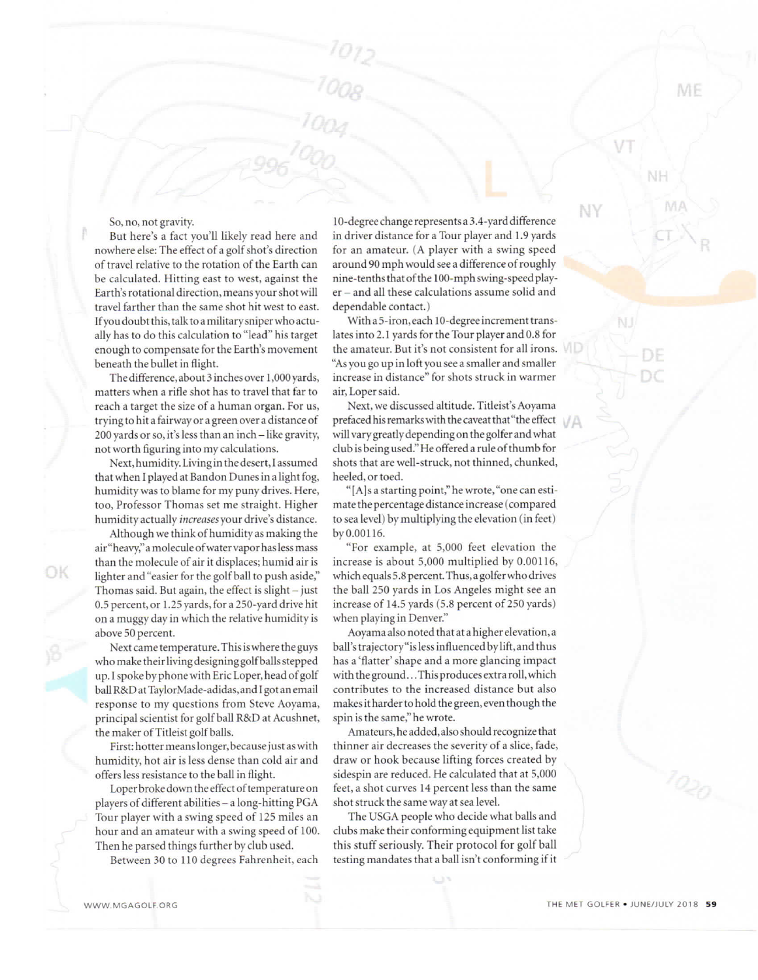#### So, no, not gravity.

But here's a fact you'1l likely read here and nowhere else: The effect of a golf shot's direction of travel relative to the rotation of the Earth can be calculated. Hitting east to west, against the Earth's rotational direction, means your shot will travel farther than the same shot hit west to east. If you doubt this, talk to a military sniper who actually has to do this calculation to "lead" his target enough to compensate for the Earth's movement beneath the bullet in flight.

The difference, about 3 inches over 1,000 yards, matters when a rifle shot has to travel that far to reach a target the size of a human organ. For us, trying to hit a fairway or a green over a distance of 200 yards or so, it's less than an inch-like gravity, not worth figuring into my calculations.

Next,humidity.Livinginthedesert,Iassumed that when I played at Bandon Dunes in a light fog, humidity was to blame for my puny drives. Here, too, Professor Thomas set me straight. Higher humidity actually increases your drive's distance.

Although we think of humidity as making the air"heavy,"amoleculeofwatervaporhaslessmass than the molecule of air it displaces; humid air is lighter and "easier for the golf ball to push aside," Thomas said. But again, the effect is slight  $-$  just 0.5 percent, or I .25 yards, for a 250-yard drive hit on a muggy day in which the relative humidity is above 50 percent.

Next came temperature. This is where the guys whomaketheirlivingdesigninggolfballsstepped up. I spoke by phone with Eric Loper, head of golf ballR&DatTaylorMade-adidas,and1gotanemail response to my questions from Steve Aoyama, principal scientist for golf ball R&D at Acushnet, the maker of Titleist golf balls.

First: hotter means longer, because just as with humidity, hot air is less dense than cold air and offers less resistance to the ball in flight.

Loper broke down the effect of temperature on players of different abilities - a long-hitting PGA Tour player with a swing speed of 125 miles an hour and an amateur with a swing speed of 100. Then he parsed things further by club used.

Between 30 to Ilo degrees Fahrenheit, each

10-degree change represents a 3.4-yard difference in driver distance for a Tour player and I.9 yards for an amateur. (A player with a swing speed around 90 mph would see a difference of roughly nine-tenths that of the 100-mph swing-speed player - and all these calculations assume solid and dependable contact. )

With a 5-iron, each 10-degree increment translates into 2.1 yards for the Tour player and 0.8 for the amateur. But it's not consistent for all irons.  $\blacksquare$ "As you go up in loft you see a smaller and smaller increase in distance" for shots struck in warmer air,Lopersaid.

Next, we discussed altitude. Titleist's Aoyama prefaced his remarks with the caveat that "the effect will vary greatly depending on the golfer and what club is being used." He offered a rule of thumb for shots that are well-struck, not thinned, chunked, heeled, or toed.

"[A]s a starting point," he wrote, "one can estimate the percentage distance increase (compared to sea level) by multiplying the elevation (in feet) byo.00116.

"For example, at 5,000 feet elevation the increase is about 5,000 multiplied by 0.00116, which equals 5.8 percent. Thus, a golfer who drives the ball 250 yards in Los Angeles might see an increase of 14.5 yards (5.8 percent of 250 yards) when playing in Denver."

Aoyama also noted that at a higher elevation, a ball'strajectory"islessinfluencedbylift,andthus has a 'flatter' shape and a more glancing impact with the ground...This produces extra roll, which contributes to the increased distance but also makesithardertoholdthegreen,eventhoughthe spin is the same," he wrote.

Amateurs, he added, also should recognize that thinner air decreases the severity of a slice, fade, draw or hook because lifting forces created by sidespin are reduced. He calculated that at 5,000 feet, a shot curves 14 percent less than the same shot struck the same way at sea level.

The USGA people who decide what balls and clubs make their conforming equipment list take this stuff seriously. Their protocol for golf ball testing mandates that a ball isn't conforming if it

OK

ME

NY

NJ